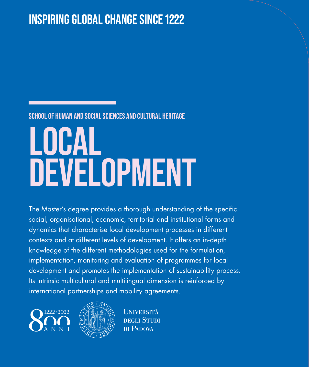## **INSPIRING GLOBAL CHANGE SINCE 1222**

#### **SCHOOL OF HUMAN AND SOCIAL SCIENCES AND CULTURAL HERITAGE**

# **LOCAL DEVELOPMENT**

The Master's degree provides a thorough understanding of the specific social, organisational, economic, territorial and institutional forms and dynamics that characterise local development processes in different contexts and at different levels of development. It offers an in-depth knowledge of the different methodologies used for the formulation, implementation, monitoring and evaluation of programmes for local development and promotes the implementation of sustainability process. Its intrinsic multicultural and multilingual dimension is reinforced by international partnerships and mobility agreements.





**I INIVERSITÀ DEGLI STUDI** DI PADOVA